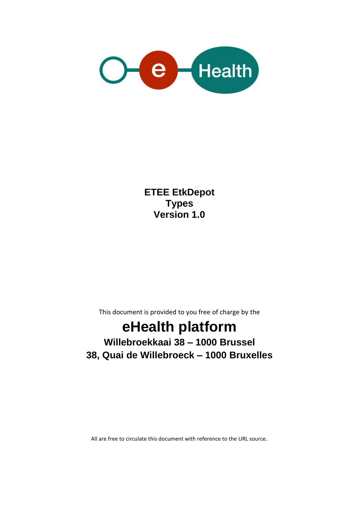

**ETEE EtkDepot Types Version 1.0**

This document is provided to you free of charge by the

# **eHealth platform**

### **Willebroekkaai 38 – 1000 Brussel 38, Quai de Willebroeck – 1000 Bruxelles**

All are free to circulate this document with reference to the URL source.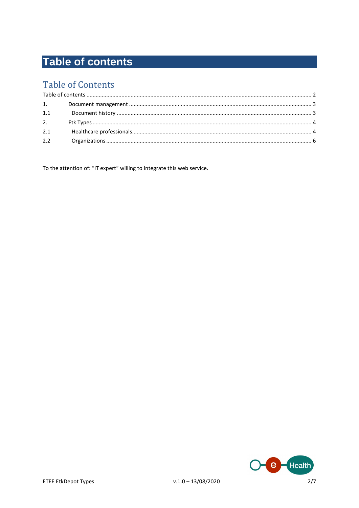# <span id="page-1-0"></span>**Table of contents**

### **Table of Contents**

| 1.1 |  |  |
|-----|--|--|
| 2.  |  |  |
| 2.1 |  |  |
| 2.2 |  |  |

To the attention of: "IT expert" willing to integrate this web service.

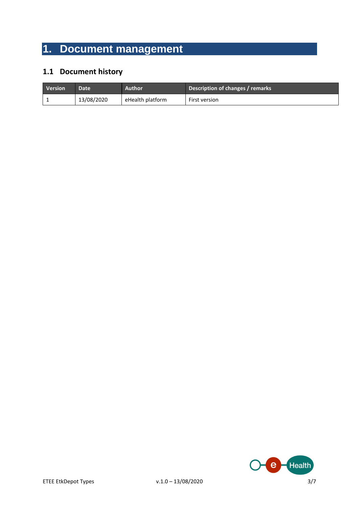# <span id="page-2-0"></span>**1. Document management**

#### <span id="page-2-1"></span>**1.1 Document history**

| <b>Version</b> | Date <sup>1</sup> | Author           | Description of changes / remarks |
|----------------|-------------------|------------------|----------------------------------|
|                | 13/08/2020        | eHealth platform | First version                    |

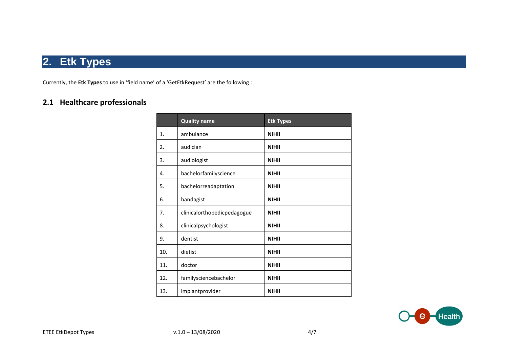### **2. Etk Types**

Currently, the **Etk Types** to use in 'field name' of a 'GetEtkRequest' are the following :

#### <span id="page-3-1"></span><span id="page-3-0"></span>**2.1 Healthcare professionals**

|     | <b>Quality name</b>         | <b>Etk Types</b> |
|-----|-----------------------------|------------------|
| 1.  | ambulance                   | <b>NIHII</b>     |
| 2.  | audician                    | <b>NIHII</b>     |
| 3.  | audiologist                 | <b>NIHII</b>     |
| 4.  | bachelorfamilyscience       | <b>NIHII</b>     |
| 5.  | bachelorreadaptation        | <b>NIHII</b>     |
| 6.  | bandagist                   | <b>NIHII</b>     |
| 7.  | clinicalorthopedicpedagogue | <b>NIHII</b>     |
| 8.  | clinicalpsychologist        | <b>NIHII</b>     |
| 9.  | dentist                     | <b>NIHII</b>     |
| 10. | dietist                     | <b>NIHII</b>     |
| 11. | doctor                      | <b>NIHII</b>     |
| 12. | familysciencebachelor       | <b>NIHII</b>     |
| 13. | implantprovider             | <b>NIHII</b>     |

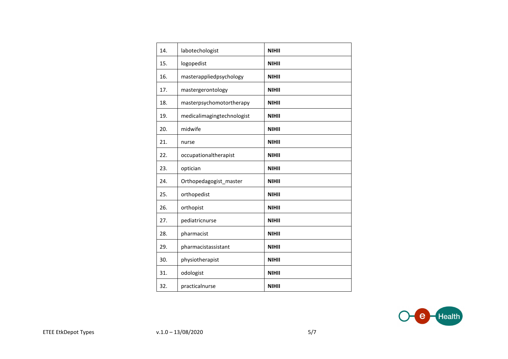| 14. | labotechologist            | <b>NIHII</b> |
|-----|----------------------------|--------------|
| 15. | logopedist                 | <b>NIHII</b> |
| 16. | masterappliedpsychology    | <b>NIHII</b> |
| 17. | mastergerontology          | <b>NIHII</b> |
| 18. | masterpsychomotortherapy   | <b>NIHII</b> |
| 19. | medicalimagingtechnologist | <b>NIHII</b> |
| 20. | midwife                    | <b>NIHII</b> |
| 21. | nurse                      | <b>NIHII</b> |
| 22. | occupationaltherapist      | <b>NIHII</b> |
| 23. | optician                   | <b>NIHII</b> |
| 24. | Orthopedagogist_master     | <b>NIHII</b> |
| 25. | orthopedist                | <b>NIHII</b> |
| 26. | orthopist                  | <b>NIHII</b> |
| 27. | pediatricnurse             | <b>NIHII</b> |
| 28. | pharmacist                 | <b>NIHII</b> |
| 29. | pharmacistassistant        | <b>NIHII</b> |
| 30. | physiotherapist            | <b>NIHII</b> |
| 31. | odologist                  | <b>NIHII</b> |
| 32. | practicalnurse             | <b>NIHII</b> |

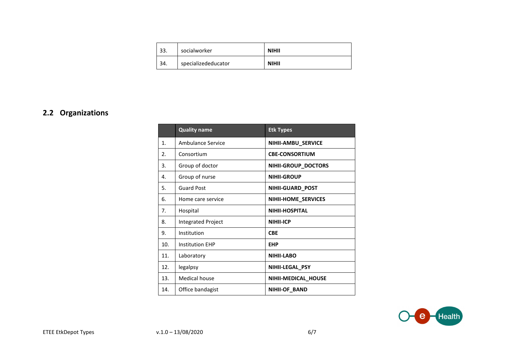| 33. | socialworker        | <b>NIHII</b> |
|-----|---------------------|--------------|
| 34. | specializededucator | <b>NIHII</b> |

#### <span id="page-5-0"></span>**2.2 Organizations**

|                       | <b>Quality name</b>       | <b>Etk Types</b>       |
|-----------------------|---------------------------|------------------------|
| 1 <sub>1</sub>        | Ambulance Service         | NIHII-AMBU_SERVICE     |
| $\mathcal{P}_{\cdot}$ | Consortium                | <b>CBE-CONSORTIUM</b>  |
| 3.                    | Group of doctor           | NIHII-GROUP_DOCTORS    |
| 4.                    | Group of nurse            | <b>NIHII-GROUP</b>     |
| 5.                    | <b>Guard Post</b>         | NIHII-GUARD_POST       |
| 6.                    | Home care service         | NIHII-HOME_SERVICES    |
| 7.                    | Hospital                  | <b>NIHII-HOSPITAL</b>  |
| 8.                    | <b>Integrated Project</b> | <b>NIHII-ICP</b>       |
| 9.                    | Institution               | <b>CBE</b>             |
| 10.                   | <b>Institution EHP</b>    | <b>EHP</b>             |
| 11.                   | Laboratory                | <b>NIHII-LABO</b>      |
| 12.                   | legalpsy                  | <b>NIHII-LEGAL PSY</b> |
| 13.                   | <b>Medical house</b>      | NIHII-MEDICAL_HOUSE    |
| 14.                   | Office bandagist          | NIHII-OF_BAND          |